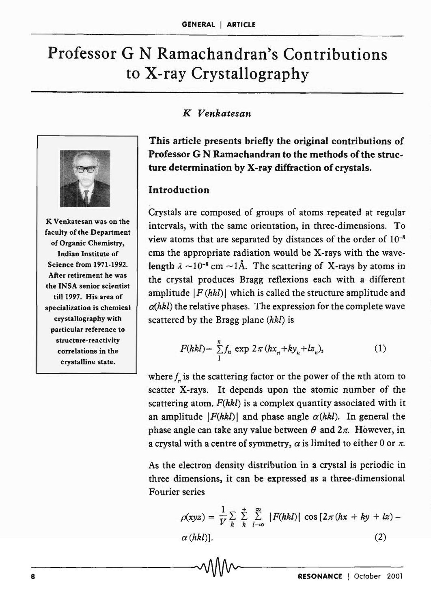# Professor G N Ramachandran's Contributions to X-ray Crystallography



K Venkatesan was on the faculty of the Department of Organic Chemistry, Indian Institute of Science from 1971-1992. After retirement he was the INSA senior scientist till 1997. His area of specialization is chemical crystallography with particular reference to structure-reactivity correlations in the crystalline state.

#### *K Venkatesan*

This article presents briefly the original contributions of Professor G N Ramachandran to the methods of the structure determination by X-ray diffraction of crystals.

#### Introduction

Crystals are composed of groups of atoms repeated at regular intervals, with the same orientation, in three-dimensions. To view atoms that are separated by distances of the order of  $10^{-8}$ ems the appropriate radiation would be X-rays with the wavelength  $\lambda \sim 10^{-8}$  cm  $\sim 1$ Å. The scattering of X-rays by atoms in the crystal produces Bragg reflexions each with a different amplitude  $|F(hkl)|$  which is called the structure amplitude and *a(hkl)* the relative phases. The expression for the complete wave scattered by the Bragg plane *(hkl)* is

$$
F(hkl) = \sum_{1}^{n} f_n \exp 2\pi (hx_n + ky_n + lz_n),
$$
 (1)

where  $f_n$  is the scattering factor or the power of the *n*th atom to scatter X-rays. It depends upon the atomic number of the scattering atom. *F(hkl)* is a complex quantity associated with it an amplitude  $|F(hkl)|$  and phase angle  $\alpha(hkl)$ . In general the phase angle can take any value between  $\theta$  and  $2\pi$ . However, in a crystal with a centre of symmetry,  $\alpha$  is limited to either 0 or  $\pi$ .

As the electron density distribution in a crystal is periodic in three dimensions, it can be expressed as a three-dimensional Fourier series

$$
\rho(xyz) = \frac{1}{V} \sum_{h} \sum_{k=1-\infty}^{+\infty} |F(hkl)| \cos \left[ 2\pi (hx + ky + lx) - \alpha (hkl) \right]. \tag{2}
$$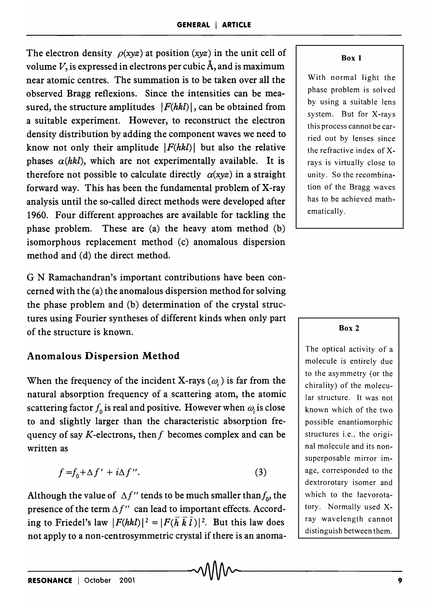The electron density  $\rho(xyz)$  at position (xyz) in the unit cell of volume  $V$ , is expressed in electrons per cubic  $A$ , and is maximum near atomic centres. The summation is to be taken over all the observed Bragg reflexions. Since the intensities can be measured, the structure amplitudes  $|F(hkl)|$ , can be obtained from a suitable experiment. However, to reconstruct the electron density distribution by adding the component waves we need to know not only their amplitude  $|F(hkl)|$  but also the relative phases  $\alpha(hkl)$ , which are not experimentally available. It is therefore not possible to calculate directly  $\alpha(xyz)$  in a straight forward way. This has been the fundamental problem of X-ray analysis until the so-called direct methods were developed after 1960. Four different approaches are available for tackling the phase problem. These are (a) the heavy atom method (b) isomorphous replacement method (c) anomalous dispersion method and (d) the direct method.

G N Ramachandran's important contributions have been concerned with the (a) the anomalous dispersion method for solving the phase problem and (b) determination of the crystal structures using Fourier syntheses of different kinds when only part of the structure is known.

## Anomalous Dispersion Method

When the frequency of the incident X-rays  $(\omega_i)$  is far from the natural absorption frequency of a scattering atom, the atomic scattering factor  $f_0$  is real and positive. However when  $\omega$  is close to and slightly larger than the characteristic absorption frequency of say K-electrons, then f becomes complex and can be written as

$$
f = f_0 + \Delta f' + i\Delta f''.
$$
 (3)

Although the value of  $\Delta f''$  tends to be much smaller than  $f_{\alpha}$  the presence of the term  $\Delta f''$  can lead to important effects. According to Friedel's law  $|F(hkl)|^2 = |F(\overline{h} \ \overline{k} \ \overline{l})|^2$ . But this law does not apply to a non-centrosymmetric crystal if there is an anoma-

#### Box 1

With normal light the phase problem is solved by using a suitable lens system. But for X-rays this process cannot be carried out by lenses since the refractive index of Xrays is virtually close to unity. So the recombination of the Bragg waves has to be achieved mathematically.

#### Box 2

The optical activity of a molecule is entirely due to the asymmetry (or the chirality) of the molecular structure. It was not known which of the two possible enantiomorphic structures i.e., the original molecule and its nonsuperposable mirror image, corresponded to the dextrorotary isomer and which to the laevorotatory. Normally used Xray wavelength cannot distinguish between them.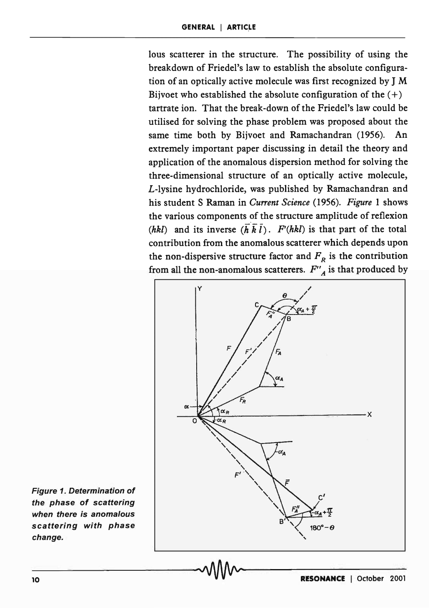lous scatterer in the structure. The possibility of using the breakdown of Friedel's law to establish the absolute configuration of an optically active molecule was first recognized by J M Bijvoet who established the absolute configuration of the  $(+)$ tartrate ion. That the break-down of the Friedel's law could be utilised for solving the phase problem was proposed about the same time both by Bijvoet and Ramachandran (1956). An extremely important paper discussing in detail the theory and application of the anomalous dispersion method for solving the three-dimensional structure of an optically active molecule, L-lysine hydrochloride, was published by Ramachandran and his student S Raman in *Current Science* (1956). *Figure* 1 shows the various components of the structure amplitude of reflexion *(hkl)* and its inverse  $(\bar{h} \bar{k} \bar{l})$ . *F'(hkl)* is that part of the total contribution from the anomalous scatterer which depends upon the non-dispersive structure factor and  $F_R$  is the contribution from all the non-anomalous scatterers.  $F''_A$  is that produced by



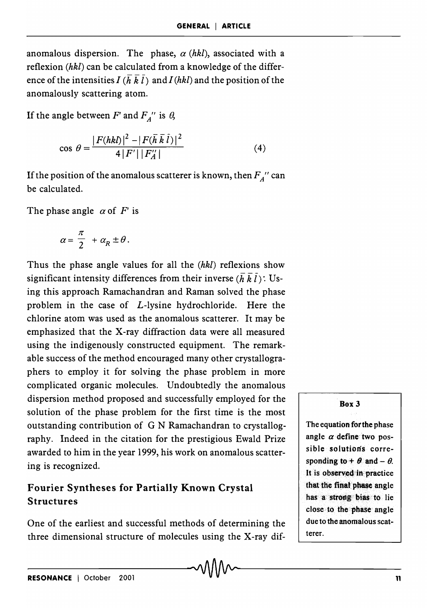anomalous dispersion. The phase,  $\alpha$  (hkl), associated with a reflexion  $(hkl)$  can be calculated from a knowledge of the difference of the intensities  $I(h\overline{k}l)$  and  $I(hkl)$  and the position of the anomalously scattering atom.

If the angle between  $F'$  and  $F_A''$  is  $\theta$ ,

$$
\cos \theta = \frac{|F(hkl)|^2 - |F(\bar{h}\,\bar{k}\,\bar{l})|^2}{4\,|F'|\,|F''_A|}\tag{4}
$$

If the position of the anomalous scatterer is known, then  $F_A$ <sup>"</sup> can be calculated.

The phase angle  $\alpha$  of F' is

$$
\alpha = \frac{\pi}{2} + \alpha_R \pm \theta.
$$

Thus the phase angle values for all the  $(hkl)$  reflexions show significant intensity differences from their inverse  $(\overline{h} \overline{k} \overline{l})$ : Using this approach Ramachandran and Raman solved the phase problem in the case of L-Iysine hydrochloride. Here the chlorine atom was used as the anomalous scatterer. It may be emphasized that the X-ray diffraction data were all measured using the indigenously constructed equipment. The remarkable success of the method encouraged many other crystallographers to employ it for solving the phase problem in more complicated organic molecules. Undoubtedly the anomalous dispersion method proposed and successfully employed for the solution of the phase problem for the first time is the most outstanding contribution of G N Ramachandran to crystallography. Indeed in the citation for the prestigious Ewald Prize awarded to him in the year 1999, his work on anomalous scattering is recognized.

## Fourier Syntheses for Partially Known Crystal Structures

One of the earliest and successful methods of determining the three dimensional structure of molecules using the X-ray difBox 3

The equation fotthe phase angle  $\alpha$  define two possible solutions corresponding to +  $\theta$  and -  $\theta$ . It is observed in practice that the final phase angle has a strong bias to lie close· to the phase angle due to the anomalous scatterer.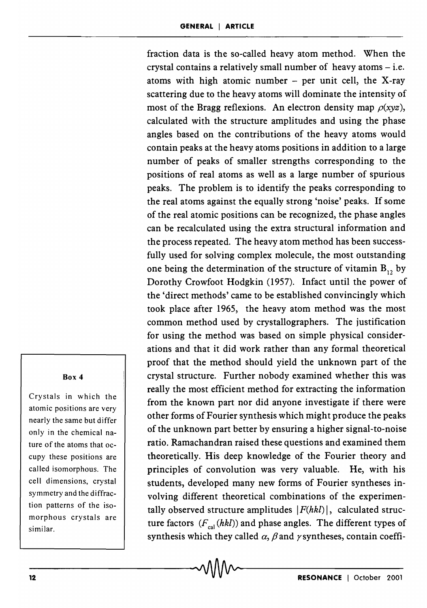fraction data is the so-called heavy atom method. When the crystal contains a relatively small number of heavy atoms  $-$  i.e. atoms with high atomic number  $-$  per unit cell, the X-ray scattering due to the heavy atoms will dominate the intensity of most of the Bragg reflexions. An electron density map  $\rho(xyz)$ , calculated with the structure amplitudes and using the phase angles based on the contributions of the heavy atoms would contain peaks at the heavy atoms positions in addition to a large number of peaks of smaller strengths corresponding to the positions of real atoms as well as a large number of spurious peaks. The problem is to identify the peaks corresponding to the real atoms against the equally strong 'noise' peaks. If some of the real atomic positions can be recognized, the phase angles can be recalculated using the extra structural information and the process repeated. The heavy atom method has been successfully used for solving complex molecule, the most outstanding one being the determination of the structure of vitamin  $B_1$ , by Dorothy Crowfoot Hodgkin (1957). Infact until the power of the 'direct methods' came to be established convincingly which took place after 1965, the heavy atom method was the most common method used by crystallographers. The justification for using the method was based on simple physical considerations and that it did work rather than any formal theoretical proof that the method should yield the unknown part of the crystal structure. Further nobody examined whether this was really the most efficient method for extracting the information from the known part nor did anyone investigate if there were other forms of Fourier synthesis which might produce the peaks of the unknown part better by ensuring a higher signal-to-noise ratio. Ramachandran raised these questions and examined them theoretically. His deep knowledge of the Fourier theory and principles of convolution was very valuable. He, with his students, developed many new forms of Fourier syntheses involving different theoretical combinations of the experimentally observed structure amplitudes  $|F(hkl)|$ , calculated structure factors  $(F_{col}(hkl))$  and phase angles. The different types of synthesis which they called  $\alpha$ ,  $\beta$  and  $\gamma$  syntheses, contain coeffi-

#### Box 4

Crystals in which the atomic positions are very nearly the same but differ only in the chemical nature of the atoms that occupy these positions are called isomorphous. The cell dimensions, crystal symmetry and the diffraction patterns of the isomorphous crystals are similar.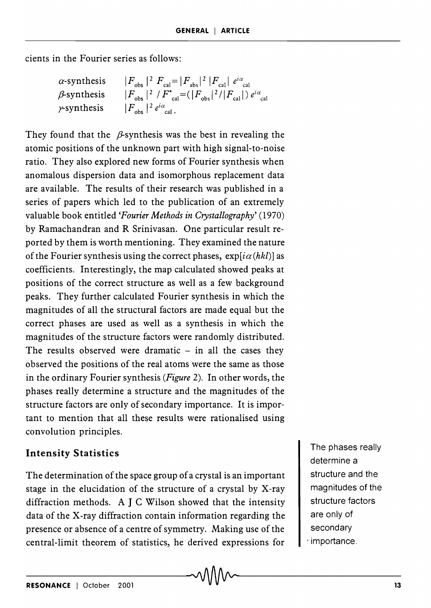cients in the Fourier series as follows:

$$
\alpha
$$
-synthesis  $|F_{\text{obs}}|^2 F_{\text{cal}} = |F_{\text{abs}}|^2 |F_{\text{cal}}| e^{i\alpha}$   
\n $\beta$ -synthesis  $|F_{\text{obs}}|^2 / F_{\text{cal}}^* = (|F_{\text{obs}}|^2 / |F_{\text{cal}}|) e^{i\alpha}$   
\n $\gamma$ -synthesis  $|F_{\text{obs}}|^2 e^{i\alpha}$   
\n $|F_{\text{obs}}|^2 e^{i\alpha}$ 

They found that the  $\beta$ -synthesis was the best in revealing the atomic positions of the unknown part with high signal-to-noise ratio. They also explored new forms of Fourier synthesis when anomalous dispersion data and isomorphous replacement data are available. The results of their research was published in a series of papers which led to the publication of an extremely valuable book entitled *'Fourier Methods in Crystallography' (1970)*  by Ramachandran and R Srinivasan. One particular result reported by them is worth mentioning. They examined the nature of the Fourier synthesis using the correct phases,  $\exp[i\alpha(hkl)]$  as coefficients. Interestingly, the map calculated showed peaks at positions of the correct structure as well as a few background peaks. They further calculated Fourier synthesis in which the magnitudes of all the structural factors are made equal but the correct phases are used as well as a synthesis in which the magnitudes of the structure factors were randomly distributed. The results observed were dramatic  $-$  in all the cases they observed the positions of the real atoms were the same as those in the ordinary Fourier synthesis *(Figure* 2). In other words, the phases really determine a structure and the magnitudes of the structure factors are only of secondary importance. It is important to mention that all these results were rationalised using convolution principles.

### **Intensity Statistics**

The determination of the space group of a crystal is an important stage in the elucidation of the structure of a crystal by X-ray diffraction methods. A J C Wilson showed that the intensity data of the X-ray diffraction contain information regarding the presence or absence of a centre of symmetry. Making use of the central-limit theorem of statistics, he derived expressions for

The phases really determine a structure and the magnitudes of the structure factors are only of secondary . importance.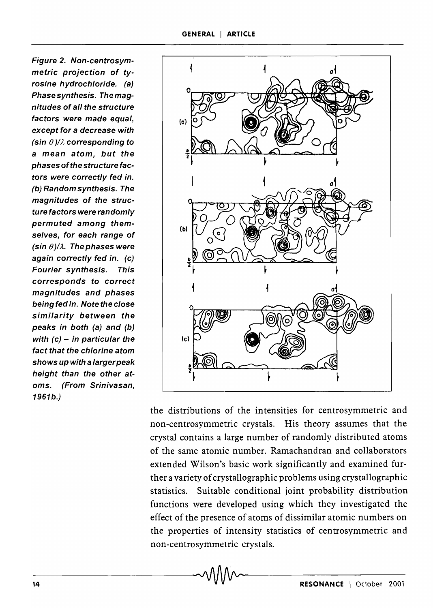Figure 2. Non-centrosymmetric projection of tyrosine hydrochloride. (a) Phase synthesis. The magnitudes of all the structure factors were made equal. except for a decrease with (sin *e* )/A corresponding to a mean atom, but the phases of the structure factors were correctly fed in. (b) Random synthesis. The magnitudes of the structure factors were randomly permuted among themselves, for each range of (sin  $\theta$ )/ $\lambda$ . The phases were again correctly fed in. (c) Fourier synthesis. This corresponds to correct magnitudes and phases being fed in. Note the close similarity between the peaks in both (a) and (b) with  $(c)$  - in particular the fact that the chlorine atom shows up with a largerpeak height than the other atoms. (From Srinivasan, 1961b.)



the distributions of the intensities for centrosymmetric and non-centrosymmetric crystals. His theory assumes that the crystal contains a large number of randomly distributed atoms of the same atomic number. Ramachandran and collaborators extended Wilson's basic work significantly and examined further a variety of crystallographic problems using crystallographic statistics. Suitable conditional joint probability distribution functions were developed using which they investigated the effect of the presence of atoms of dissimilar atomic numbers on the properties of intensity statistics of centrosymmetric and non-centro symmetric crystals.